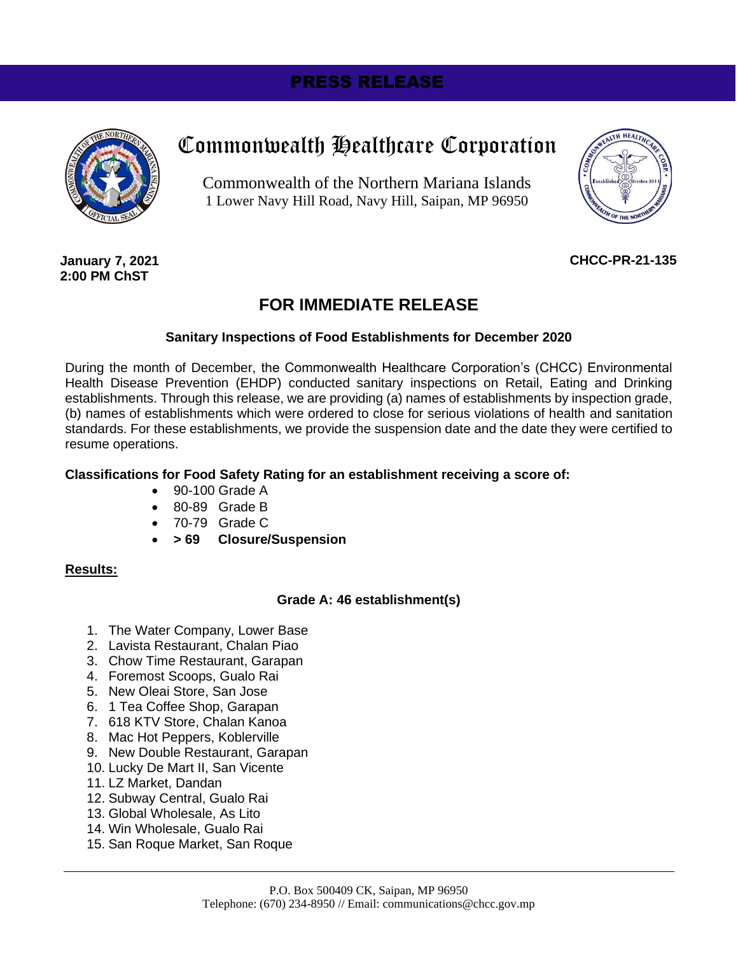# PRESS RELEASE



# Commonwealth Healthcare Corporation

Commonwealth of the Northern Mariana Islands 1 Lower Navy Hill Road, Navy Hill, Saipan, MP 96950



**January 7, 2021 2:00 PM ChST**

### **CHCC-PR-21-135**

# **FOR IMMEDIATE RELEASE**

#### **Sanitary Inspections of Food Establishments for December 2020**

During the month of December, the Commonwealth Healthcare Corporation's (CHCC) Environmental Health Disease Prevention (EHDP) conducted sanitary inspections on Retail, Eating and Drinking establishments. Through this release, we are providing (a) names of establishments by inspection grade, (b) names of establishments which were ordered to close for serious violations of health and sanitation standards. For these establishments, we provide the suspension date and the date they were certified to resume operations.

#### **Classifications for Food Safety Rating for an establishment receiving a score of:**

- 90-100 Grade A
- 80-89 Grade B
- 70-79 Grade C
- **> 69 Closure/Suspension**

#### **Results:**

#### **Grade A: 46 establishment(s)**

- 1. The Water Company, Lower Base
- 2. Lavista Restaurant, Chalan Piao
- 3. Chow Time Restaurant, Garapan
- 4. Foremost Scoops, Gualo Rai
- 5. New Oleai Store, San Jose
- 6. 1 Tea Coffee Shop, Garapan
- 7. 618 KTV Store, Chalan Kanoa
- 8. Mac Hot Peppers, Koblerville
- 9. New Double Restaurant, Garapan
- 10. Lucky De Mart II, San Vicente
- 11. LZ Market, Dandan
- 12. Subway Central, Gualo Rai
- 13. Global Wholesale, As Lito
- 14. Win Wholesale, Gualo Rai
- 15. San Roque Market, San Roque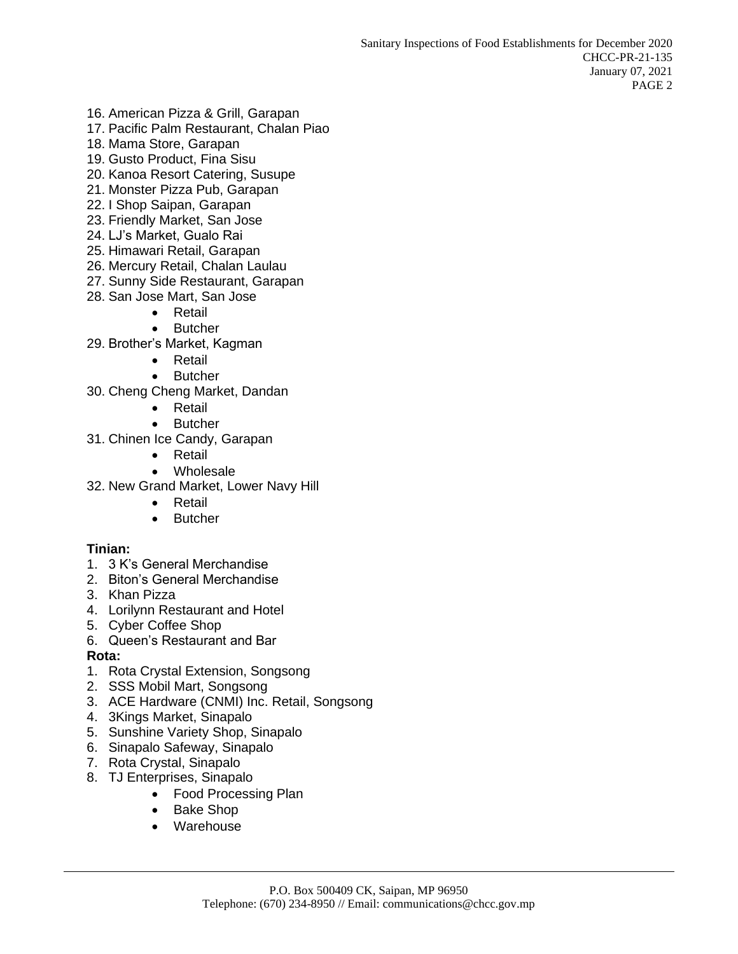- 16. American Pizza & Grill, Garapan
- 17. Pacific Palm Restaurant, Chalan Piao
- 18. Mama Store, Garapan
- 19. Gusto Product, Fina Sisu
- 20. Kanoa Resort Catering, Susupe
- 21. Monster Pizza Pub, Garapan
- 22. I Shop Saipan, Garapan
- 23. Friendly Market, San Jose
- 24. LJ's Market, Gualo Rai
- 25. Himawari Retail, Garapan
- 26. Mercury Retail, Chalan Laulau
- 27. Sunny Side Restaurant, Garapan
- 28. San Jose Mart, San Jose
	- **Retail**
	- **Butcher**
- 29. Brother's Market, Kagman
	- Retail
	- Butcher
- 30. Cheng Cheng Market, Dandan
	- Retail
	- Butcher
- 31. Chinen Ice Candy, Garapan
	- Retail
	- Wholesale
- 32. New Grand Market, Lower Navy Hill
	- Retail
	- **Butcher**

#### **Tinian:**

- 1. 3 K's General Merchandise
- 2. Biton's General Merchandise
- 3. Khan Pizza
- 4. Lorilynn Restaurant and Hotel
- 5. Cyber Coffee Shop
- 6. Queen's Restaurant and Bar

#### **Rota:**

- 1. Rota Crystal Extension, Songsong
- 2. SSS Mobil Mart, Songsong
- 3. ACE Hardware (CNMI) Inc. Retail, Songsong
- 4. 3Kings Market, Sinapalo
- 5. Sunshine Variety Shop, Sinapalo
- 6. Sinapalo Safeway, Sinapalo
- 7. Rota Crystal, Sinapalo
- 8. TJ Enterprises, Sinapalo
	- Food Processing Plan
	- Bake Shop
	- Warehouse